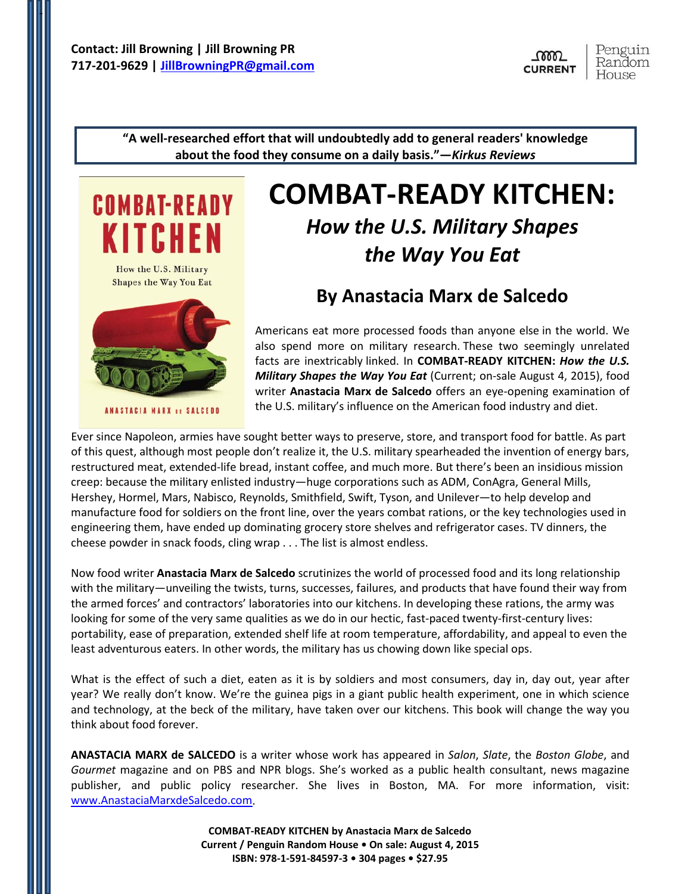-



**"A well-researched effort that will undoubtedly add to general readers' knowledge about the food they consume on a daily basis."—***Kirkus Reviews*



## **COMBAT-READY KITCHEN:**  *How the U.S. Military Shapes*

# **By Anastacia Marx de Salcedo**

*the Way You Eat*

Americans eat more processed foods than anyone else in the world. We also spend more on military research. These two seemingly unrelated facts are inextricably linked. In **COMBAT-READY KITCHEN:** *How the U.S. Military Shapes the Way You Eat* (Current; on-sale August 4, 2015), food writer **Anastacia Marx de Salcedo** offers an eye-opening examination of the U.S. military's influence on the American food industry and diet.

Ever since Napoleon, armies have sought better ways to preserve, store, and transport food for battle. As part of this quest, although most people don't realize it, the U.S. military spearheaded the invention of energy bars, restructured meat, extended-life bread, instant coffee, and much more. But there's been an insidious mission creep: because the military enlisted industry—huge corporations such as ADM, ConAgra, General Mills, Hershey, Hormel, Mars, Nabisco, Reynolds, Smithfield, Swift, Tyson, and Unilever—to help develop and manufacture food for soldiers on the front line, over the years combat rations, or the key technologies used in engineering them, have ended up dominating grocery store shelves and refrigerator cases. TV dinners, the cheese powder in snack foods, cling wrap . . . The list is almost endless.

Now food writer **Anastacia Marx de Salcedo** scrutinizes the world of processed food and its long relationship with the military—unveiling the twists, turns, successes, failures, and products that have found their way from the armed forces' and contractors' laboratories into our kitchens. In developing these rations, the army was looking for some of the very same qualities as we do in our hectic, fast-paced twenty-first-century lives: portability, ease of preparation, extended shelf life at room temperature, affordability, and appeal to even the least adventurous eaters. In other words, the military has us chowing down like special ops.

What is the effect of such a diet, eaten as it is by soldiers and most consumers, day in, day out, year after year? We really don't know. We're the guinea pigs in a giant public health experiment, one in which science and technology, at the beck of the military, have taken over our kitchens. This book will change the way you think about food forever.

**ANASTACIA MARX de SALCEDO** is a writer whose work has appeared in *Salon*, *Slate*, the *Boston Globe*, and *Gourmet* magazine and on PBS and NPR blogs. She's worked as a public health consultant, news magazine publisher, and public policy researcher. She lives in Boston, MA. For more information, visit: www.AnastaciaMarxdeSalcedo.com.

> **COMBAT-READY KITCHEN by Anastacia Marx de Salcedo Current / Penguin Random House • On sale: August 4, 2015 ISBN: 978-1-591-84597-3 • 304 pages • \$27.95**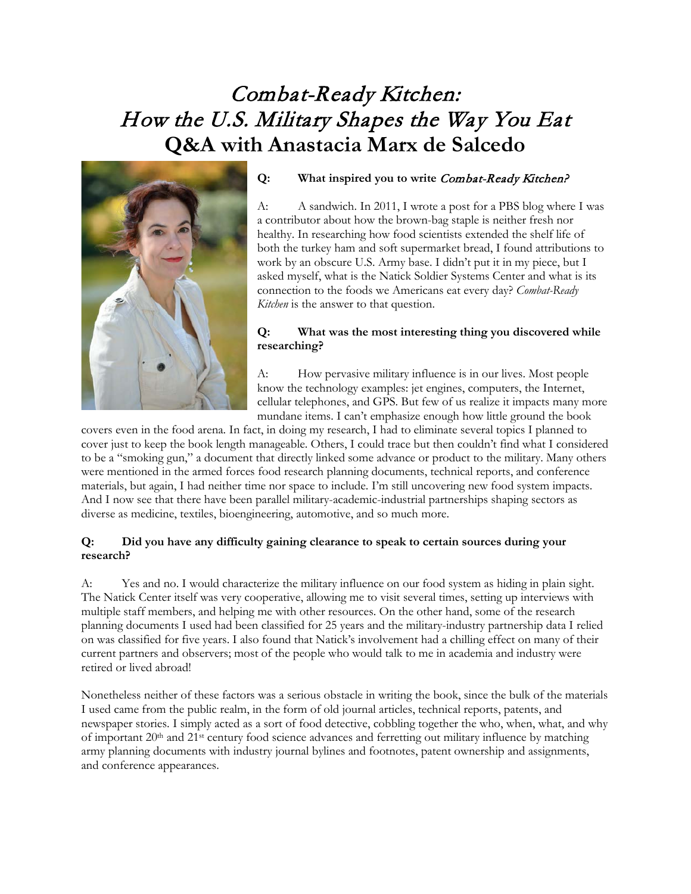### Combat-Ready Kitchen: How the U.S. Military Shapes the Way You Eat **Q&A with Anastacia Marx de Salcedo**



#### **Q: What inspired you to write** Combat-Ready Kitchen?

A: A sandwich. In 2011, I wrote a post for a PBS blog where I was a contributor about how the brown-bag staple is neither fresh nor healthy. In researching how food scientists extended the shelf life of both the turkey ham and soft supermarket bread, I found attributions to work by an obscure U.S. Army base. I didn't put it in my piece, but I asked myself, what is the Natick Soldier Systems Center and what is its connection to the foods we Americans eat every day? *Combat-Ready Kitchen* is the answer to that question.

#### **Q: What was the most interesting thing you discovered while researching?**

A: How pervasive military influence is in our lives. Most people know the technology examples: jet engines, computers, the Internet, cellular telephones, and GPS. But few of us realize it impacts many more mundane items. I can't emphasize enough how little ground the book

covers even in the food arena. In fact, in doing my research, I had to eliminate several topics I planned to cover just to keep the book length manageable. Others, I could trace but then couldn't find what I considered to be a "smoking gun," a document that directly linked some advance or product to the military. Many others were mentioned in the armed forces food research planning documents, technical reports, and conference materials, but again, I had neither time nor space to include. I'm still uncovering new food system impacts. And I now see that there have been parallel military-academic-industrial partnerships shaping sectors as diverse as medicine, textiles, bioengineering, automotive, and so much more.

#### **Q: Did you have any difficulty gaining clearance to speak to certain sources during your research?**

A: Yes and no. I would characterize the military influence on our food system as hiding in plain sight. The Natick Center itself was very cooperative, allowing me to visit several times, setting up interviews with multiple staff members, and helping me with other resources. On the other hand, some of the research planning documents I used had been classified for 25 years and the military-industry partnership data I relied on was classified for five years. I also found that Natick's involvement had a chilling effect on many of their current partners and observers; most of the people who would talk to me in academia and industry were retired or lived abroad!

Nonetheless neither of these factors was a serious obstacle in writing the book, since the bulk of the materials I used came from the public realm, in the form of old journal articles, technical reports, patents, and newspaper stories. I simply acted as a sort of food detective, cobbling together the who, when, what, and why of important 20<sup>th</sup> and 21<sup>st</sup> century food science advances and ferretting out military influence by matching army planning documents with industry journal bylines and footnotes, patent ownership and assignments, and conference appearances.